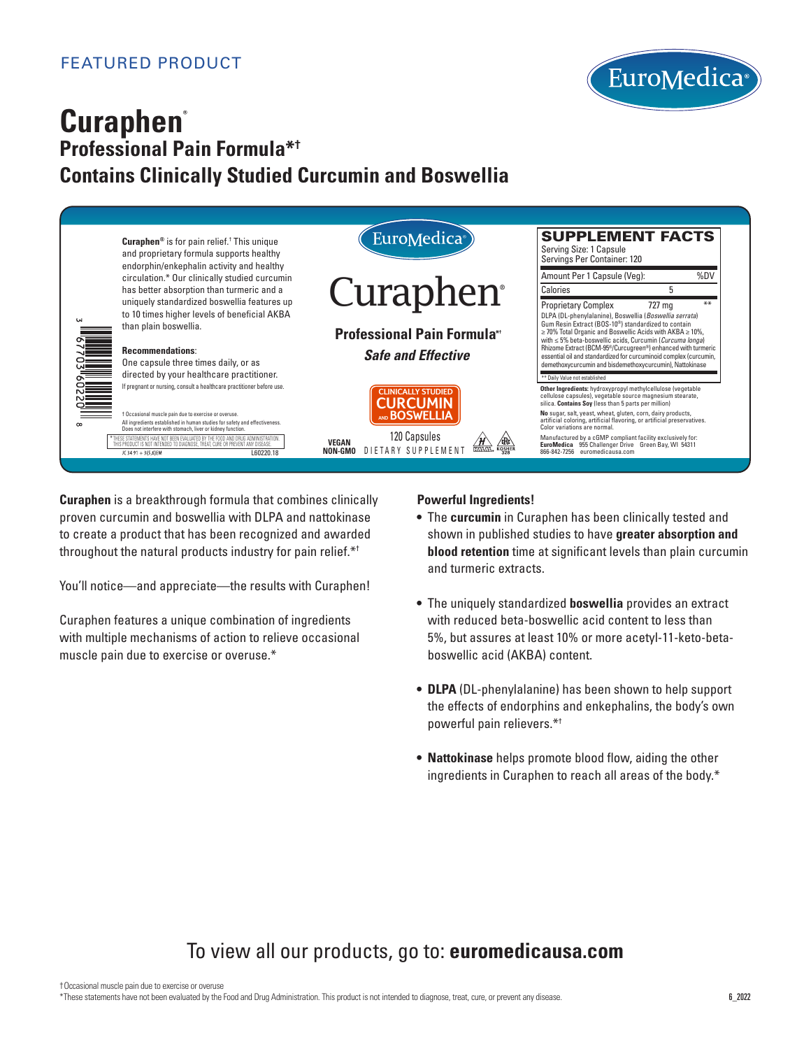

# **Curaphen® Professional Pain Formula\*† Contains Clinically Studied Curcumin and Boswellia**



**Curaphen** is a breakthrough formula that combines clinically proven curcumin and boswellia with DLPA and nattokinase to create a product that has been recognized and awarded throughout the natural products industry for pain relief.\*†

You'll notice—and appreciate—the results with Curaphen!

Curaphen features a unique combination of ingredients with multiple mechanisms of action to relieve occasional muscle pain due to exercise or overuse.\*

## **Powerful Ingredients!**

- The **curcumin** in Curaphen has been clinically tested and shown in published studies to have **greater absorption and blood retention** time at significant levels than plain curcumin and turmeric extracts.
- The uniquely standardized **boswellia** provides an extract with reduced beta-boswellic acid content to less than 5%, but assures at least 10% or more acetyl-11-keto-betaboswellic acid (AKBA) content.
- **DLPA** (DL-phenylalanine) has been shown to help support the effects of endorphins and enkephalins, the body's own powerful pain relievers.\*†
- **Nattokinase** helps promote blood flow, aiding the other ingredients in Curaphen to reach all areas of the body.\*

# To view all our products, go to: **euromedicausa.com**